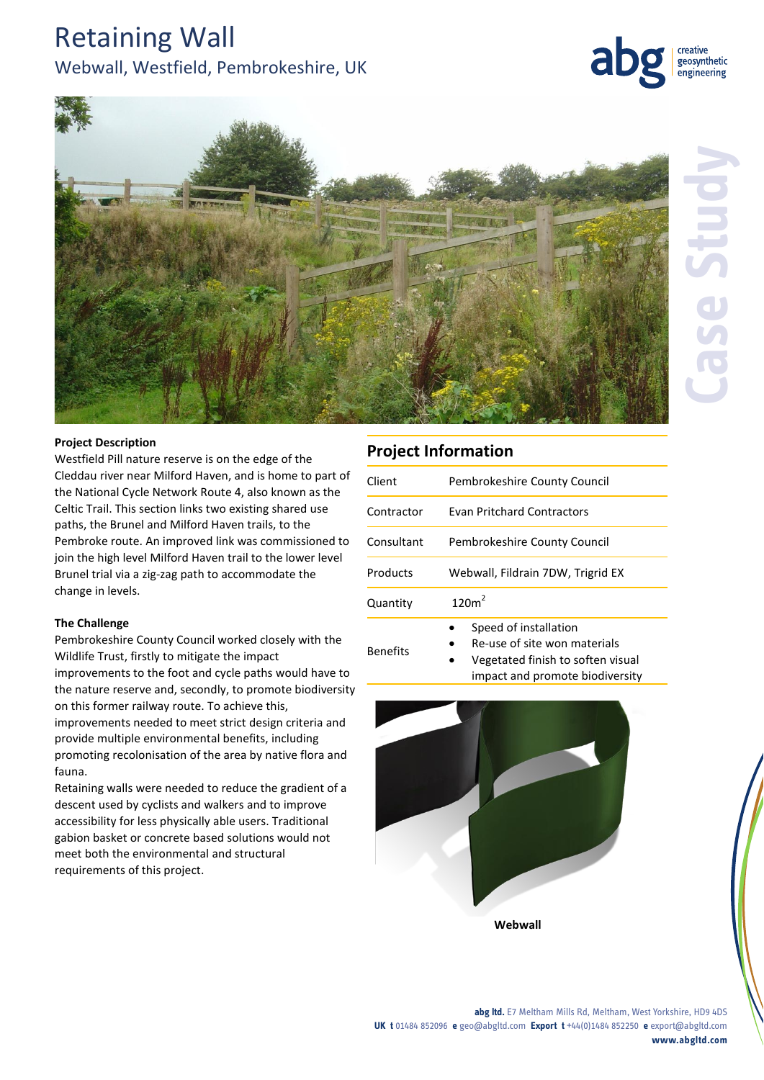# Retaining Wall Webwall, Westfield, Pembrokeshire, UK





### **Project Description**

Westfield Pill nature reserve is on the edge of the Cleddau river near Milford Haven, and is home to part of the National Cycle Network Route 4, also known as the Celtic Trail. This section links two existing shared use paths, the Brunel and Milford Haven trails, to the Pembroke route. An improved link was commissioned to join the high level Milford Haven trail to the lower level Brunel trial via a zig-zag path to accommodate the change in levels.

### **The Challenge**

Pembrokeshire County Council worked closely with the Wildlife Trust, firstly to mitigate the impact improvements to the foot and cycle paths would have to the nature reserve and, secondly, to promote biodiversity on this former railway route. To achieve this, improvements needed to meet strict design criteria and provide multiple environmental benefits, including promoting recolonisation of the area by native flora and fauna.

Retaining walls were needed to reduce the gradient of a descent used by cyclists and walkers and to improve accessibility for less physically able users. Traditional gabion basket or concrete based solutions would not meet both the environmental and structural requirements of this project.

### **Project Information**

Benefits

| Client     | Pembrokeshire County Council      |
|------------|-----------------------------------|
| Contractor | <b>Evan Pritchard Contractors</b> |
| Consultant | Pembrokeshire County Council      |
| Products   | Webwall, Fildrain 7DW, Trigrid EX |
| Quantity   | 120m <sup>2</sup>                 |
|            | Coood of installation             |

- Speed of installation
	- Re-use of site won materials
	- Vegetated finish to soften visual impact and promote biodiversity